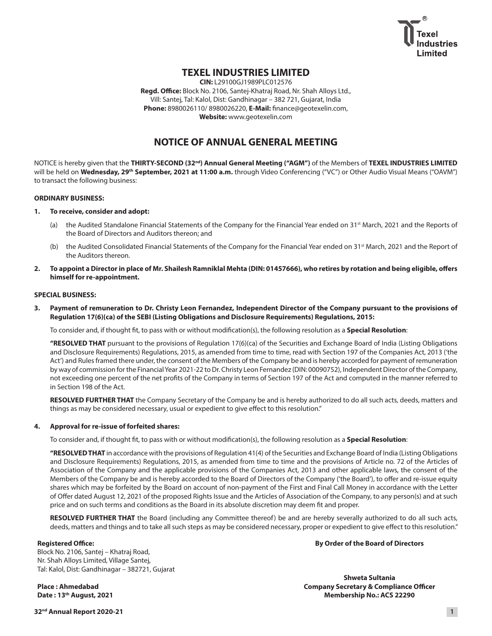

# **TEXEL INDUSTRIES LIMITED**

**CIN:** L29100GJ1989PLC012576 **Regd. Office:** Block No. 2106, Santej-Khatraj Road, Nr. Shah Alloys Ltd., Vill: Santej, Tal: Kalol, Dist: Gandhinagar – 382 721, Gujarat, India **Phone:** 8980026110/ 8980026220, **E-Mail:** [finance@geotexelin.com](mailto:finance@geotexelin.com), **Website:** <www.geotexelin.com>

# **NOTICE OF ANNUAL GENERAL MEETING**

NOTICE is hereby given that the **THIRTY-SECOND (32nd) Annual General Meeting ("AGM")** of the Members of **TEXEL INDUSTRIES LIMITED**  will be held on Wednesday, 29<sup>th</sup> September, 2021 at 11:00 a.m. through Video Conferencing ("VC") or Other Audio Visual Means ("OAVM") to transact the following business:

# **ORDINARY BUSINESS:**

- **1. To receive, consider and adopt:**
	- (a) the Audited Standalone Financial Statements of the Company for the Financial Year ended on 31<sup>st</sup> March, 2021 and the Reports of the Board of Directors and Auditors thereon; and
	- (b) the Audited Consolidated Financial Statements of the Company for the Financial Year ended on 31<sup>st</sup> March, 2021 and the Report of the Auditors thereon.
- **2. To appoint a Director in place of Mr. Shailesh Ramniklal Mehta (DIN: 01457666), who retires by rotation and being eligible, offers himself for re-appointment.**

## **SPECIAL BUSINESS:**

**3. Payment of remuneration to Dr. Christy Leon Fernandez, Independent Director of the Company pursuant to the provisions of Regulation 17(6)(ca) of the SEBI (Listing Obligations and Disclosure Requirements) Regulations, 2015:**

To consider and, if thought fit, to pass with or without modification(s), the following resolution as a **Special Resolution**:

 **"RESOLVED THAT** pursuant to the provisions of Regulation 17(6)(ca) of the Securities and Exchange Board of India (Listing Obligations and Disclosure Requirements) Regulations, 2015, as amended from time to time, read with Section 197 of the Companies Act, 2013 ('the Act') and Rules framed there under, the consent of the Members of the Company be and is hereby accorded for payment of remuneration by way of commission for the Financial Year 2021-22 to Dr. Christy Leon Fernandez (DIN: 00090752), Independent Director of the Company, not exceeding one percent of the net profits of the Company in terms of Section 197 of the Act and computed in the manner referred to in Section 198 of the Act.

 **RESOLVED FURTHER THAT** the Company Secretary of the Company be and is hereby authorized to do all such acts, deeds, matters and things as may be considered necessary, usual or expedient to give effect to this resolution."

# **4. Approval for re-issue of forfeited shares:**

To consider and, if thought fit, to pass with or without modification(s), the following resolution as a **Special Resolution**:

 **"RESOLVED THAT** in accordance with the provisions of Regulation 41(4) of the Securities and Exchange Board of India (Listing Obligations and Disclosure Requirements) Regulations, 2015, as amended from time to time and the provisions of Article no. 72 of the Articles of Association of the Company and the applicable provisions of the Companies Act, 2013 and other applicable laws, the consent of the Members of the Company be and is hereby accorded to the Board of Directors of the Company ('the Board'), to offer and re-issue equity shares which may be forfeited by the Board on account of non-payment of the First and Final Call Money in accordance with the Letter of Offer dated August 12, 2021 of the proposed Rights Issue and the Articles of Association of the Company, to any person(s) and at such price and on such terms and conditions as the Board in its absolute discretion may deem fit and proper.

 **RESOLVED FURTHER THAT** the Board (including any Committee thereof) be and are hereby severally authorized to do all such acts, deeds, matters and things and to take all such steps as may be considered necessary, proper or expedient to give effect to this resolution."

# **Registered Office:**

Block No. 2106, Santej – Khatraj Road, Nr. Shah Alloys Limited, Village Santej, Tal: Kalol, Dist: Gandhinagar – 382721, Gujarat

**Place : Ahmedabad Date : 13th August, 2021** **By Order of the Board of Directors**

**Shweta Sultania Company Secretary & Compliance Officer Membership No.: ACS 22290**

**32nd Annual Report 2020-21 1**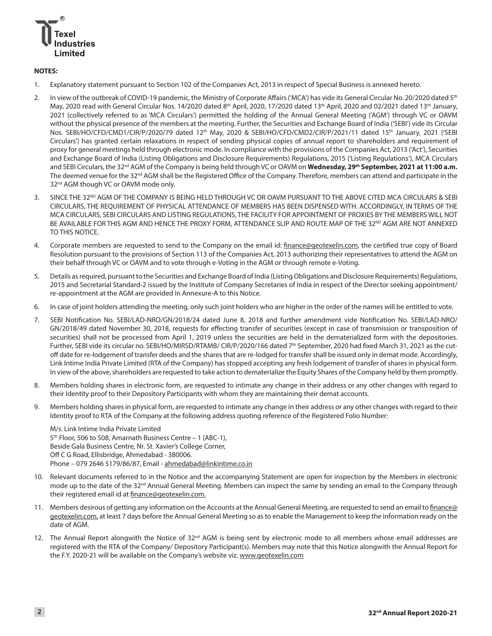

# **NOTES:**

- 1. Explanatory statement pursuant to Section 102 of the Companies Act, 2013 in respect of Special Business is annexed hereto.
- 2. In view of the outbreak of COVID-19 pandemic, the Ministry of Corporate Affairs ('MCA') has vide its General Circular No. 20/2020 dated 5<sup>th</sup> May, 2020 read with General Circular Nos. 14/2020 dated 8<sup>th</sup> April, 2020, 17/2020 dated 13<sup>th</sup> April, 2020 and 02/2021 dated 13<sup>th</sup> January, 2021 (collectively referred to as 'MCA Circulars') permitted the holding of the Annual General Meeting ('AGM') through VC or OAVM without the physical presence of the members at the meeting. Further, the Securities and Exchange Board of India ('SEBI') vide its Circular Nos. SEBI/HO/CFD/CMD1/CIR/P/2020/79 dated 12<sup>th</sup> May, 2020 & SEBI/HO/CFD/CMD2/CIR/P/2021/11 dated 15<sup>th</sup> January, 2021 ('SEBI Circulars') has granted certain relaxations in respect of sending physical copies of annual report to shareholders and requirement of proxy for general meetings held through electronic mode. In compliance with the provisions of the Companies Act, 2013 ('Act'), Securities and Exchange Board of India (Listing Obligations and Disclosure Requirements) Regulations, 2015 ('Listing Regulations'), MCA Circulars and SEBI Circulars, the 32<sup>nd</sup> AGM of the Company is being held through VC or OAVM on Wednesday, 29<sup>th</sup> September, 2021 at 11:00 a.m. The deemed venue for the 32<sup>nd</sup> AGM shall be the Registered Office of the Company. Therefore, members can attend and participate in the 32<sup>nd</sup> AGM though VC or OAVM mode only.
- 3. SINCE THE 32<sup>ND</sup> AGM OF THE COMPANY IS BEING HELD THROUGH VC OR OAVM PURSUANT TO THE ABOVE CITED MCA CIRCULARS & SEBI CIRCULARS, THE REQUIREMENT OF PHYSICAL ATTENDANCE OF MEMBERS HAS BEEN DISPENSED WITH. ACCORDINGLY, IN TERMS OF THE MCA CIRCULARS, SEBI CIRCULARS AND LISTING REGULATIONS, THE FACILITY FOR APPOINTMENT OF PROXIES BY THE MEMBERS WILL NOT BE AVAILABLE FOR THIS AGM AND HENCE THE PROXY FORM, ATTENDANCE SLIP AND ROUTE MAP OF THE 32<sup>ND</sup> AGM ARE NOT ANNEXED TO THIS NOTICE.
- 4. Corporate members are requested to send to the Company on the email id: [finance@geotexelin.com](mailto:finance@geotexelin.com), the certified true copy of Board Resolution pursuant to the provisions of Section 113 of the Companies Act, 2013 authorizing their representatives to attend the AGM on their behalf through VC or OAVM and to vote through e-Voting in the AGM or through remote e-Voting.
- 5. Details as required, pursuant to the Securities and Exchange Board of India (Listing Obligations and Disclosure Requirements) Regulations, 2015 and Secretarial Standard-2 issued by the Institute of Company Secretaries of India in respect of the Director seeking appointment/ re-appointment at the AGM are provided in Annexure-A to this Notice.
- 6. In case of joint holders attending the meeting, only such joint holders who are higher in the order of the names will be entitled to vote.
- 7. SEBI Notification No. SEBI/LAD-NRO/GN/2018/24 dated June 8, 2018 and further amendment vide Notification No. SEBI/LAD-NRO/ GN/2018/49 dated November 30, 2018, requests for effecting transfer of securities (except in case of transmission or transposition of securities) shall not be processed from April 1, 2019 unless the securities are held in the dematerialized form with the depositories. Further, SEBI vide its circular no. SEBI/HO/MIRSD/RTAMB/ CIR/P/2020/166 dated 7th September, 2020 had fixed March 31, 2021 as the cutoff date for re-lodgement of transfer deeds and the shares that are re-lodged for transfer shall be issued only in demat mode. Accordingly, Link Intime India Private Limited (RTA of the Company) has stopped accepting any fresh lodgement of transfer of shares in physical form. In view of the above, shareholders are requested to take action to dematerialize the Equity Shares of the Company held by them promptly.
- 8. Members holding shares in electronic form, are requested to intimate any change in their address or any other changes with regard to their Identity proof to their Depository Participants with whom they are maintaining their demat accounts.
- 9. Members holding shares in physical form, are requested to intimate any change in their address or any other changes with regard to their Identity proof to RTA of the Company at the following address quoting reference of the Registered Folio Number:

M/s. Link Intime India Private Limited 5<sup>th</sup> Floor, 506 to 508, Amarnath Business Centre - 1 (ABC-1), Beside Gala Business Centre, Nr. St. Xavier's College Corner, Off C G Road, Ellisbridge, Ahmedabad - 380006. Phone - 079 2646 5179/86/87, Email - [ahmedabad@linkintime.co.in](mailto:ahmedabad@linkintime.co.in)

- 10. Relevant documents referred to in the Notice and the accompanying Statement are open for inspection by the Members in electronic mode up to the date of the 32<sup>nd</sup> Annual General Meeting. Members can inspect the same by sending an email to the Company through their registered email id at [finance@geotexelin.com](mailto:finance@geotexelin.com).
- 11. Members desirous of getting any information on the Accounts at the Annual General Meeting, are requested to send an email to [finance@](mailto:finance@geotexelin.com) [geotexelin.com](mailto:finance@geotexelin.com), at least 7 days before the Annual General Meeting so as to enable the Management to keep the information ready on the date of AGM.
- 12. The Annual Report alongwith the Notice of 32<sup>nd</sup> AGM is being sent by electronic mode to all members whose email addresses are registered with the RTA of the Company/ Depository Participant(s). Members may note that this Notice alongwith the Annual Report for the F.Y. 2020-21 will be available on the Company's website viz. [www.geotexelin.com](http://www.geotexelin.com)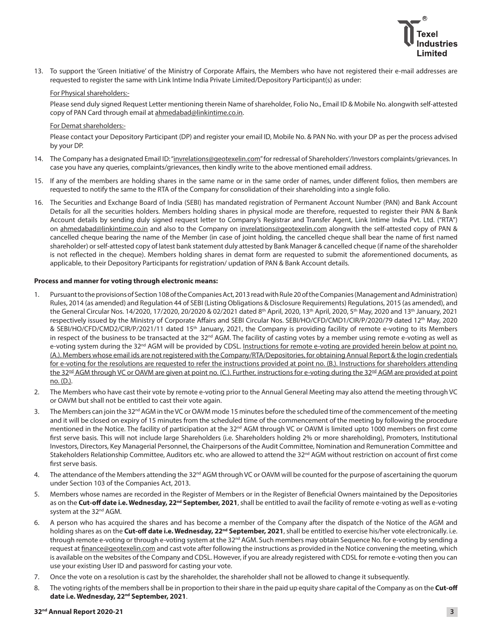13. To support the 'Green Initiative' of the Ministry of Corporate Affairs, the Members who have not registered their e-mail addresses are requested to register the same with Link Intime India Private Limited/Depository Participant(s) as under:

# For Physical shareholders:-

 Please send duly signed Request Letter mentioning therein Name of shareholder, Folio No., Email ID & Mobile No. alongwith self-attested copy of PAN Card through email at [ahmedabad@linkintime.co.in](mailto:ahmedabad@linkintime.co.in).

#### For Demat shareholders:-

 Please contact your Depository Participant (DP) and register your email ID, Mobile No. & PAN No. with your DP as per the process advised by your DP.

- 14. The Company has a designated Email ID: ["invrelations@geotexelin.com"](mailto:invrelations@geotexelin.com) for redressal of Shareholders'/Investors complaints/grievances. In case you have any queries, complaints/grievances, then kindly write to the above mentioned email address.
- 15. If any of the members are holding shares in the same name or in the same order of names, under different folios, then members are requested to notify the same to the RTA of the Company for consolidation of their shareholding into a single folio.
- 16. The Securities and Exchange Board of India (SEBI) has mandated registration of Permanent Account Number (PAN) and Bank Account Details for all the securities holders. Members holding shares in physical mode are therefore, requested to register their PAN & Bank Account details by sending duly signed request letter to Company's Registrar and Transfer Agent, Link Intime India Pvt. Ltd. ("RTA") on [ahmedabad@linkintime.co.in](mailto:ahmedabad@linkintime.co.in) and also to the Company on [invrelations@geotexelin.com](mailto:invrelations@geotexelin.com) alongwith the self-attested copy of PAN & cancelled cheque bearing the name of the Member (in case of joint holding, the cancelled cheque shall bear the name of first named shareholder) or self-attested copy of latest bank statement duly attested by Bank Manager & cancelled cheque (if name of the shareholder is not reflected in the cheque). Members holding shares in demat form are requested to submit the aforementioned documents, as applicable, to their Depository Participants for registration/ updation of PAN & Bank Account details.

# **Process and manner for voting through electronic means:**

- 1. Pursuant to the provisions of Section 108 of the Companies Act, 2013 read with Rule 20 of the Companies (Management and Administration) Rules, 2014 (as amended) and Regulation 44 of SEBI (Listing Obligations & Disclosure Requirements) Regulations, 2015 (as amended), and the General Circular Nos. 14/2020, 17/2020, 20/2020 & 02/2021 dated 8th April, 2020, 13th April, 2020, 5th May, 2020 and 13th January, 2021 respectively issued by the Ministry of Corporate Affairs and SEBI Circular Nos. SEBI/HO/CFD/CMD1/CIR/P/2020/79 dated 12<sup>th</sup> May, 2020 & SEBI/HO/CFD/CMD2/CIR/P/2021/11 dated 15<sup>th</sup> January, 2021, the Company is providing facility of remote e-voting to its Members in respect of the business to be transacted at the 32<sup>nd</sup> AGM. The facility of casting votes by a member using remote e-voting as well as e-voting system during the 32<sup>nd</sup> AGM will be provided by CDSL. Instructions for remote e-voting are provided herein below at point no. (A.). Members whose email ids are not registered with the Company/RTA/Depositories, for obtaining Annual Report & the login credentials for e-voting for the resolutions are requested to refer the instructions provided at point no. (B.). Instructions for shareholders attending the 32<sup>nd</sup> AGM through VC or OAVM are given at point no. (C.). Further, instructions for e-voting during the 32<sup>nd</sup> AGM are provided at point no. (D.).
- 2. The Members who have cast their vote by remote e-voting prior to the Annual General Meeting may also attend the meeting through VC or OAVM but shall not be entitled to cast their vote again.
- 3. The Members can join the 32<sup>nd</sup> AGM in the VC or OAVM mode 15 minutes before the scheduled time of the commencement of the meeting and it will be closed on expiry of 15 minutes from the scheduled time of the commencement of the meeting by following the procedure mentioned in the Notice. The facility of participation at the 32<sup>nd</sup> AGM through VC or OAVM is limited upto 1000 members on first come first serve basis. This will not include large Shareholders (i.e. Shareholders holding 2% or more shareholding), Promoters, Institutional Investors, Directors, Key Managerial Personnel, the Chairpersons of the Audit Committee, Nomination and Remuneration Committee and Stakeholders Relationship Committee, Auditors etc. who are allowed to attend the 32<sup>nd</sup> AGM without restriction on account of first come first serve basis.
- 4. The attendance of the Members attending the 32<sup>nd</sup> AGM through VC or OAVM will be counted for the purpose of ascertaining the quorum under Section 103 of the Companies Act, 2013.
- 5. Members whose names are recorded in the Register of Members or in the Register of Beneficial Owners maintained by the Depositories as on the **Cut-off date i.e. Wednesday, 22nd September, 2021**, shall be entitled to avail the facility of remote e-voting as well as e-voting system at the 32<sup>nd</sup> AGM.
- 6. A person who has acquired the shares and has become a member of the Company after the dispatch of the Notice of the AGM and holding shares as on the Cut-off date i.e. Wednesday, 22<sup>nd</sup> September, 2021, shall be entitled to exercise his/her vote electronically. i.e. through remote e-voting or through e-voting system at the 32<sup>nd</sup> AGM. Such members may obtain Sequence No. for e-voting by sending a request at [finance@geotexelin.com](mailto:finance@geotexelin.com) and cast vote after following the instructions as provided in the Notice convening the meeting, which is available on the websites of the Company and CDSL. However, if you are already registered with CDSL for remote e-voting then you can use your existing User ID and password for casting your vote.
- 7. Once the vote on a resolution is cast by the shareholder, the shareholder shall not be allowed to change it subsequently.
- 8. The voting rights of the members shall be in proportion to their share in the paid up equity share capital of the Company as on the **Cut-off date i.e. Wednesday, 22nd September, 2021**.

#### **32nd Annual Report 2020-21 3**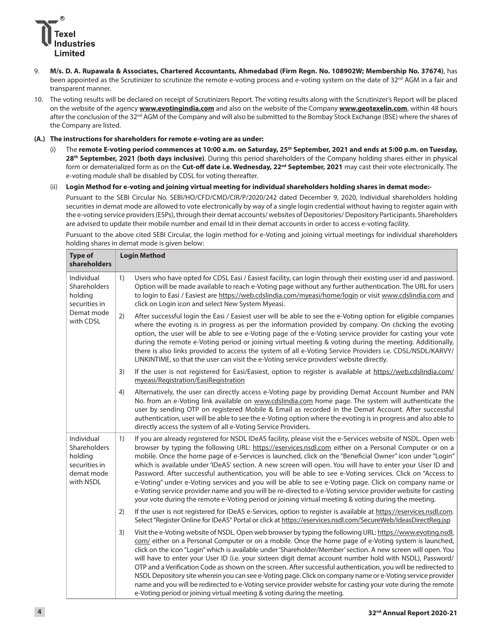

- 9. **M/s. D. A. Rupawala & Associates, Chartered Accountants, Ahmedabad (Firm Regn. No. 108902W; Membership No. 37674)**, has been appointed as the Scrutinizer to scrutinize the remote e-voting process and e-voting system on the date of 32<sup>nd</sup> AGM in a fair and transparent manner.
- 10. The voting results will be declared on receipt of Scrutinizers Report. The voting results along with the Scrutinizer's Report will be placed on the website of the agency **[www.evotingindia.com](http://www.evotingindia.com)** and also on the website of the Company **[www.geotexelin.com](http://www.geotexelin.com)**, within 48 hours after the conclusion of the 32<sup>nd</sup> AGM of the Company and will also be submitted to the Bombay Stock Exchange (BSE) where the shares of the Company are listed.

# **(A.) The instructions for shareholders for remote e-voting are as under:**

- (i) The remote E-voting period commences at 10:00 a.m. on Saturday, 25<sup>th</sup> September, 2021 and ends at 5:00 p.m. on Tuesday, **28th September, 2021 (both days inclusive)**. During this period shareholders of the Company holding shares either in physical form or dematerialized form as on the Cut-off date i.e. Wednesday, 22<sup>nd</sup> September, 2021 may cast their vote electronically. The e-voting module shall be disabled by CDSL for voting thereafter.
- (ii) **Login Method for e-voting and joining virtual meeting for individual shareholders holding shares in demat mode:-**

 Pursuant to the SEBI Circular No. SEBI/HO/CFD/CMD/CIR/P/2020/242 dated December 9, 2020, Individual shareholders holding securities in demat mode are allowed to vote electronically by way of a single login credential without having to register again with the e-voting service providers (ESPs), through their demat accounts/ websites of Depositories/ Depository Participants. Shareholders are advised to update their mobile number and email Id in their demat accounts in order to access e-voting facility.

 Pursuant to the above cited SEBI Circular, the login method for e-Voting and joining virtual meetings for individual shareholders holding shares in demat mode is given below:

| <b>Type of</b><br>shareholders                                                    | <b>Login Method</b>                                                                                                                                                                                                                                                                                                                                                                                                                                                                                                                                                                                                                                                                                                                                                                                                                                                                              |
|-----------------------------------------------------------------------------------|--------------------------------------------------------------------------------------------------------------------------------------------------------------------------------------------------------------------------------------------------------------------------------------------------------------------------------------------------------------------------------------------------------------------------------------------------------------------------------------------------------------------------------------------------------------------------------------------------------------------------------------------------------------------------------------------------------------------------------------------------------------------------------------------------------------------------------------------------------------------------------------------------|
| Individual<br>Shareholders<br>holding<br>securities in<br>Demat mode<br>with CDSL | 1)<br>Users who have opted for CDSL Easi / Easiest facility, can login through their existing user id and password.<br>Option will be made available to reach e-Voting page without any further authentication. The URL for users<br>to login to Easi / Easiest are https://web.cdslindia.com/myeasi/home/login or visit www.cdslindia.com and<br>click on Login icon and select New System Myeasi.                                                                                                                                                                                                                                                                                                                                                                                                                                                                                              |
|                                                                                   | 2)<br>After successful login the Easi / Easiest user will be able to see the e-Voting option for eligible companies<br>where the evoting is in progress as per the information provided by company. On clicking the evoting<br>option, the user will be able to see e-Voting page of the e-Voting service provider for casting your vote<br>during the remote e-Voting period or joining virtual meeting & voting during the meeting. Additionally,<br>there is also links provided to access the system of all e-Voting Service Providers i.e. CDSL/NSDL/KARVY/<br>LINKINTIME, so that the user can visit the e-Voting service providers' website directly.                                                                                                                                                                                                                                     |
|                                                                                   | If the user is not registered for Easi/Easiest, option to register is available at https://web.cdslindia.com/<br>3)<br>myeasi/Registration/EasiRegistration                                                                                                                                                                                                                                                                                                                                                                                                                                                                                                                                                                                                                                                                                                                                      |
|                                                                                   | Alternatively, the user can directly access e-Voting page by providing Demat Account Number and PAN<br>4)<br>No. from an e-Voting link available on www.cdslindia.com home page. The system will authenticate the<br>user by sending OTP on registered Mobile & Email as recorded in the Demat Account. After successful<br>authentication, user will be able to see the e-Voting option where the evoting is in progress and also able to<br>directly access the system of all e-Voting Service Providers.                                                                                                                                                                                                                                                                                                                                                                                      |
| Individual<br>Shareholders<br>holding<br>securities in<br>demat mode<br>with NSDL | 1)<br>If you are already registered for NSDL IDeAS facility, please visit the e-Services website of NSDL. Open web<br>browser by typing the following URL: https://eservices.nsdl.com either on a Personal Computer or on a<br>mobile. Once the home page of e-Services is launched, click on the "Beneficial Owner" icon under "Login"<br>which is available under 'IDeAS' section. A new screen will open. You will have to enter your User ID and<br>Password. After successful authentication, you will be able to see e-Voting services. Click on "Access to<br>e-Voting" under e-Voting services and you will be able to see e-Voting page. Click on company name or<br>e-Voting service provider name and you will be re-directed to e-Voting service provider website for casting<br>your vote during the remote e-Voting period or joining virtual meeting & voting during the meeting. |
|                                                                                   | If the user is not registered for IDeAS e-Services, option to register is available at https://eservices.nsdl.com.<br>2)<br>Select "Register Online for IDeAS" Portal or click at https://eservices.nsdl.com/SecureWeb/IdeasDirectReg.jsp                                                                                                                                                                                                                                                                                                                                                                                                                                                                                                                                                                                                                                                        |
|                                                                                   | Visit the e-Voting website of NSDL. Open web browser by typing the following URL: https://www.evoting.nsdl.<br>3)<br>com/ either on a Personal Computer or on a mobile. Once the home page of e-Voting system is launched,<br>click on the icon "Login" which is available under 'Shareholder/Member' section. A new screen will open. You<br>will have to enter your User ID (i.e. your sixteen digit demat account number hold with NSDL), Password/<br>OTP and a Verification Code as shown on the screen. After successful authentication, you will be redirected to<br>NSDL Depository site wherein you can see e-Voting page. Click on company name or e-Voting service provider<br>name and you will be redirected to e-Voting service provider website for casting your vote during the remote<br>e-Voting period or joining virtual meeting & voting during the meeting.                |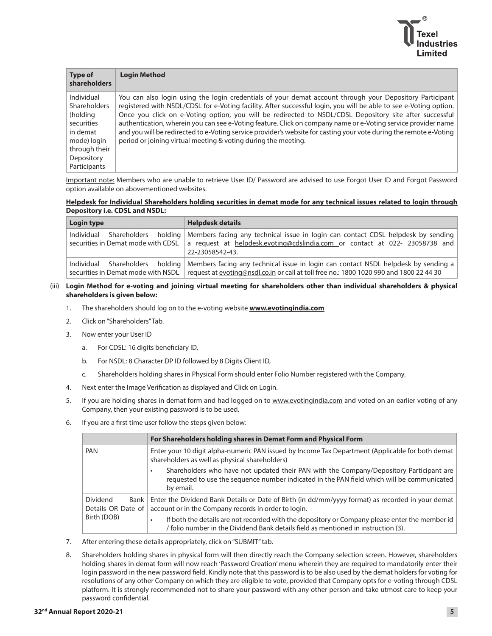

| <b>Type of</b><br><b>shareholders</b>                                                                                                 | <b>Login Method</b>                                                                                                                                                                                                                                                                                                                                                                                                                                                                                                                                                                                                                               |
|---------------------------------------------------------------------------------------------------------------------------------------|---------------------------------------------------------------------------------------------------------------------------------------------------------------------------------------------------------------------------------------------------------------------------------------------------------------------------------------------------------------------------------------------------------------------------------------------------------------------------------------------------------------------------------------------------------------------------------------------------------------------------------------------------|
| Individual<br><b>Shareholders</b><br>(holding<br>securities<br>in demat<br>mode) login<br>through their<br>Depository<br>Participants | You can also login using the login credentials of your demat account through your Depository Participant<br>registered with NSDL/CDSL for e-Voting facility. After successful login, you will be able to see e-Voting option.<br>Once you click on e-Voting option, you will be redirected to NSDL/CDSL Depository site after successful<br>authentication, wherein you can see e-Voting feature. Click on company name or e-Voting service provider name<br>and you will be redirected to e-Voting service provider's website for casting your vote during the remote e-Voting<br>period or joining virtual meeting & voting during the meeting. |

 Important note: Members who are unable to retrieve User ID/ Password are advised to use Forgot User ID and Forgot Password option available on abovementioned websites.

#### **Helpdesk for Individual Shareholders holding securities in demat mode for any technical issues related to login through Depository i.e. CDSL and NSDL:**

| Login type | <b>Helpdesk details</b>                                                                                                                                                                                                                                |  |  |  |  |  |
|------------|--------------------------------------------------------------------------------------------------------------------------------------------------------------------------------------------------------------------------------------------------------|--|--|--|--|--|
|            | Individual Shareholders holding   Members facing any technical issue in login can contact CDSL helpdesk by sending<br>securities in Demat mode with CDSL a request at helpdesk.evoting@cdslindia.com or contact at 022-23058738 and<br>22-23058542-43. |  |  |  |  |  |
|            | Individual Shareholders holding   Members facing any technical issue in login can contact NSDL helpdesk by sending a<br>securities in Demat mode with NSDL   request at evoting@nsdl.co.in or call at toll free no.: 1800 1020 990 and 1800 22 44 30   |  |  |  |  |  |

# (iii) **Login Method for e-voting and joining virtual meeting for shareholders other than individual shareholders & physical shareholders is given below:**

- 1. The shareholders should log on to the e-voting website **[www.evotingindia.com](http://www.evotingindia.com)**
- 2. Click on "Shareholders" Tab.
- 3. Now enter your User ID
	- a. For CDSL: 16 digits beneficiary ID,
	- b. For NSDL: 8 Character DP ID followed by 8 Digits Client ID,
	- c. Shareholders holding shares in Physical Form should enter Folio Number registered with the Company.
- 4. Next enter the Image Verification as displayed and Click on Login.
- 5. If you are holding shares in demat form and had logged on to [www.evotingindia.com](http://www.evotingindia.com) and voted on an earlier voting of any Company, then your existing password is to be used.
- 6. If you are a first time user follow the steps given below:

|                                                 | For Shareholders holding shares in Demat Form and Physical Form                                                                                                                                    |  |  |  |
|-------------------------------------------------|----------------------------------------------------------------------------------------------------------------------------------------------------------------------------------------------------|--|--|--|
| <b>PAN</b>                                      | Enter your 10 digit alpha-numeric PAN issued by Income Tax Department (Applicable for both demat<br>shareholders as well as physical shareholders)                                                 |  |  |  |
|                                                 | Shareholders who have not updated their PAN with the Company/Depository Participant are<br>requested to use the sequence number indicated in the PAN field which will be communicated<br>by email. |  |  |  |
| <b>Dividend</b><br>Bank  <br>Details OR Date of | Enter the Dividend Bank Details or Date of Birth (in dd/mm/yyyy format) as recorded in your demat<br>account or in the Company records in order to login.                                          |  |  |  |
| Birth (DOB)                                     | If both the details are not recorded with the depository or Company please enter the member id<br>/ folio number in the Dividend Bank details field as mentioned in instruction (3).               |  |  |  |

- 7. After entering these details appropriately, click on "SUBMIT" tab.
- 8. Shareholders holding shares in physical form will then directly reach the Company selection screen. However, shareholders holding shares in demat form will now reach 'Password Creation' menu wherein they are required to mandatorily enter their login password in the new password field. Kindly note that this password is to be also used by the demat holders for voting for resolutions of any other Company on which they are eligible to vote, provided that Company opts for e-voting through CDSL platform. It is strongly recommended not to share your password with any other person and take utmost care to keep your password confidential.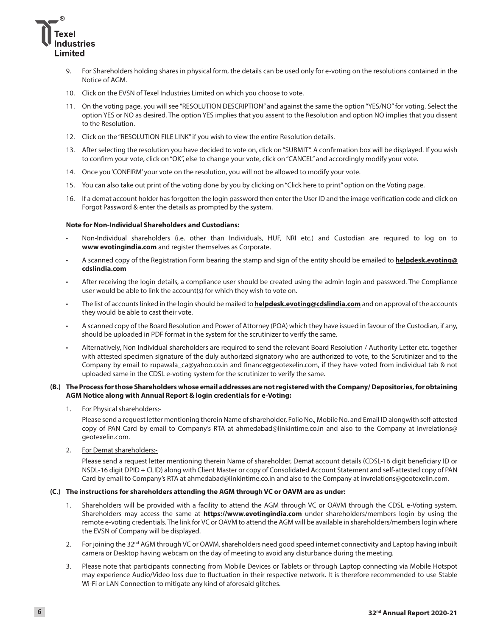

- 9. For Shareholders holding shares in physical form, the details can be used only for e-voting on the resolutions contained in the Notice of AGM.
- 10. Click on the EVSN of Texel Industries Limited on which you choose to vote.
- 11. On the voting page, you will see "RESOLUTION DESCRIPTION" and against the same the option "YES/NO" for voting. Select the option YES or NO as desired. The option YES implies that you assent to the Resolution and option NO implies that you dissent to the Resolution.
- 12. Click on the "RESOLUTION FILE LINK" if you wish to view the entire Resolution details.
- 13. After selecting the resolution you have decided to vote on, click on "SUBMIT". A confirmation box will be displayed. If you wish to confirm your vote, click on "OK", else to change your vote, click on "CANCEL" and accordingly modify your vote.
- 14. Once you 'CONFIRM' your vote on the resolution, you will not be allowed to modify your vote.
- 15. You can also take out print of the voting done by you by clicking on "Click here to print" option on the Voting page.
- 16. If a demat account holder has forgotten the login password then enter the User ID and the image verification code and click on Forgot Password & enter the details as prompted by the system.

#### **Note for Non-Individual Shareholders and Custodians:**

- Non-Individual shareholders (i.e. other than Individuals, HUF, NRI etc.) and Custodian are required to log on to **[www evotingindia.com](http://www.evotingindia.com)** and register themselves as Corporate.
- A scanned copy of the Registration Form bearing the stamp and sign of the entity should be emailed to **[helpdesk.evoting@](mailto:helpdesk.evoting@cdslindia.com) [cdslindia.com](mailto:helpdesk.evoting@cdslindia.com)**
- After receiving the login details, a compliance user should be created using the admin login and password. The Compliance user would be able to link the account(s) for which they wish to vote on.
- The list of accounts linked in the login should be mailed to **[helpdesk.evoting@cdslindia.com](mailto:helpdesk.evoting@cdslindia.com)** and on approval of the accounts they would be able to cast their vote.
- A scanned copy of the Board Resolution and Power of Attorney (POA) which they have issued in favour of the Custodian, if any, should be uploaded in PDF format in the system for the scrutinizer to verify the same.
- Alternatively, Non Individual shareholders are required to send the relevant Board Resolution / Authority Letter etc. together with attested specimen signature of the duly authorized signatory who are authorized to vote, to the Scrutinizer and to the Company by email to rupawala\_ca@yahoo.co.in and [finance@geotexelin.com,](mailto:finance@geotexelin.com) if they have voted from individual tab & not uploaded same in the CDSL e-voting system for the scrutinizer to verify the same.

#### **(B.) The Process for those Shareholders whose email addresses are not registered with the Company/ Depositories, for obtaining AGM Notice along with Annual Report & login credentials for e-Voting:**

### 1. For Physical shareholders:-

 Please send a request letter mentioning therein Name of shareholder, Folio No., Mobile No. and Email ID alongwith self-attested copy of PAN Card by email to Company's RTA at [ahmedabad@linkintime.co.in](mailto:ahmedabad@linkintime.co.in) and also to the Company at invrelations@ geotexelin.com.

2. For Demat shareholders:-

 Please send a request letter mentioning therein Name of shareholder, Demat account details (CDSL-16 digit beneficiary ID or NSDL-16 digit DPID + CLID) along with Client Master or copy of Consolidated Account Statement and self-attested copy of PAN Card by email to Company's RTA at [ahmedabad@linkintime.co.in](mailto:ahmedabad@linkintime.co.in) and also to the Company at invrelations@geotexelin.com.

## **(C.) The instructions for shareholders attending the AGM through VC or OAVM are as under:**

- 1. Shareholders will be provided with a facility to attend the AGM through VC or OAVM through the CDSL e-Voting system. Shareholders may access the same at **<https://www.evotingindia.com>** under shareholders/members login by using the remote e-voting credentials. The link for VC or OAVM to attend the AGM will be available in shareholders/members login where the EVSN of Company will be displayed.
- 2. For joining the 32<sup>nd</sup> AGM through VC or OAVM, shareholders need good speed internet connectivity and Laptop having inbuilt camera or Desktop having webcam on the day of meeting to avoid any disturbance during the meeting.
- 3. Please note that participants connecting from Mobile Devices or Tablets or through Laptop connecting via Mobile Hotspot may experience Audio/Video loss due to fluctuation in their respective network. It is therefore recommended to use Stable Wi-Fi or LAN Connection to mitigate any kind of aforesaid glitches.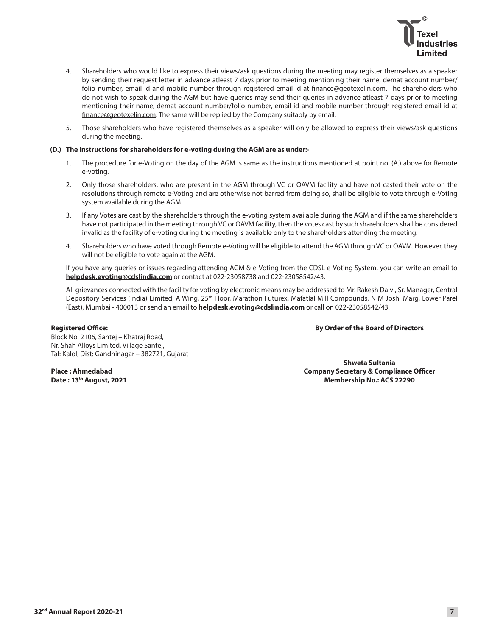

- 4. Shareholders who would like to express their views/ask questions during the meeting may register themselves as a speaker by sending their request letter in advance atleast 7 days prior to meeting mentioning their name, demat account number/ folio number, email id and mobile number through registered email id at [finance@geotexelin.com](mailto:finance@geotexelin.com). The shareholders who do not wish to speak during the AGM but have queries may send their queries in advance atleast 7 days prior to meeting mentioning their name, demat account number/folio number, email id and mobile number through registered email id at [finance@geotexelin.com](mailto:finance@geotexelin.com). The same will be replied by the Company suitably by email.
- 5. Those shareholders who have registered themselves as a speaker will only be allowed to express their views/ask questions during the meeting.

#### **(D.) The instructions for shareholders for e-voting during the AGM are as under:-**

- The procedure for e-Voting on the day of the AGM is same as the instructions mentioned at point no. (A.) above for Remote e-voting.
- 2. Only those shareholders, who are present in the AGM through VC or OAVM facility and have not casted their vote on the resolutions through remote e-Voting and are otherwise not barred from doing so, shall be eligible to vote through e-Voting system available during the AGM.
- 3. If any Votes are cast by the shareholders through the e-voting system available during the AGM and if the same shareholders have not participated in the meeting through VC or OAVM facility, then the votes cast by such shareholders shall be considered invalid as the facility of e-voting during the meeting is available only to the shareholders attending the meeting.
- 4. Shareholders who have voted through Remote e-Voting will be eligible to attend the AGM through VC or OAVM. However, they will not be eligible to vote again at the AGM.

 If you have any queries or issues regarding attending AGM & e-Voting from the CDSL e-Voting System, you can write an email to **[helpdesk.evoting@cdslindia.com](mailto:helpdesk.evoting@cdslindia.com)** or contact at 022-23058738 and 022-23058542/43.

 All grievances connected with the facility for voting by electronic means may be addressed to Mr. Rakesh Dalvi, Sr. Manager, Central Depository Services (India) Limited, A Wing, 25<sup>th</sup> Floor, Marathon Futurex, Mafatlal Mill Compounds, N M Joshi Marg, Lower Parel (East), Mumbai - 400013 or send an email to **[helpdesk.evoting@cdslindia.com](mailto:helpdesk.evoting@cdslindia.com)** or call on 022-23058542/43.

#### **Registered Office:**

**By Order of the Board of Directors**

Block No. 2106, Santej – Khatraj Road, Nr. Shah Alloys Limited, Village Santej, Tal: Kalol, Dist: Gandhinagar – 382721, Gujarat

**Place : Ahmedabad Date : 13th August, 2021**

**Shweta Sultania Company Secretary & Compliance Officer Membership No.: ACS 22290**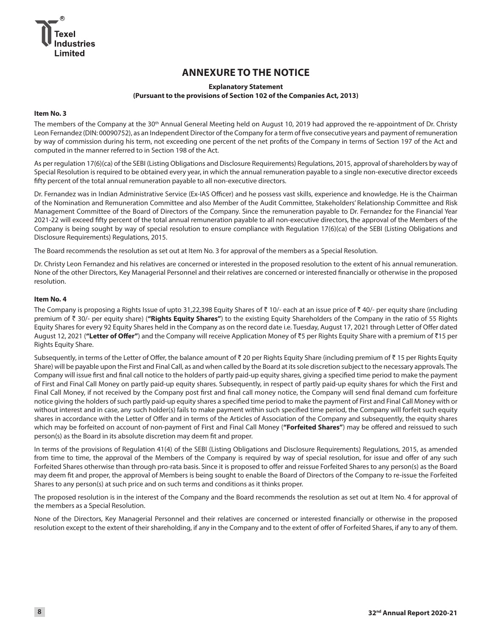# **ANNEXURE TO THE NOTICE**

# **Explanatory Statement (Pursuant to the provisions of Section 102 of the Companies Act, 2013)**

## **Item No. 3**

The members of the Company at the 30<sup>th</sup> Annual General Meeting held on August 10, 2019 had approved the re-appointment of Dr. Christy Leon Fernandez (DIN: 00090752), as an Independent Director of the Company for a term of five consecutive years and payment of remuneration by way of commission during his term, not exceeding one percent of the net profits of the Company in terms of Section 197 of the Act and computed in the manner referred to in Section 198 of the Act.

As per regulation 17(6)(ca) of the SEBI (Listing Obligations and Disclosure Requirements) Regulations, 2015, approval of shareholders by way of Special Resolution is required to be obtained every year, in which the annual remuneration payable to a single non-executive director exceeds fifty percent of the total annual remuneration payable to all non-executive directors.

Dr. Fernandez was in Indian Administrative Service (Ex-IAS Officer) and he possess vast skills, experience and knowledge. He is the Chairman of the Nomination and Remuneration Committee and also Member of the Audit Committee, Stakeholders' Relationship Committee and Risk Management Committee of the Board of Directors of the Company. Since the remuneration payable to Dr. Fernandez for the Financial Year 2021-22 will exceed fifty percent of the total annual remuneration payable to all non-executive directors, the approval of the Members of the Company is being sought by way of special resolution to ensure compliance with Regulation 17(6)(ca) of the SEBI (Listing Obligations and Disclosure Requirements) Regulations, 2015.

The Board recommends the resolution as set out at Item No. 3 for approval of the members as a Special Resolution.

Dr. Christy Leon Fernandez and his relatives are concerned or interested in the proposed resolution to the extent of his annual remuneration. None of the other Directors, Key Managerial Personnel and their relatives are concerned or interested financially or otherwise in the proposed resolution.

## **Item No. 4**

The Company is proposing a Rights Issue of upto 31,22,398 Equity Shares of  $\bar{z}$  10/- each at an issue price of  $\bar{z}$  40/- per equity share (including premium of ` 30/- per equity share) (**"Rights Equity Shares"**) to the existing Equity Shareholders of the Company in the ratio of 55 Rights Equity Shares for every 92 Equity Shares held in the Company as on the record date i.e. Tuesday, August 17, 2021 through Letter of Offer dated August 12, 2021 ("Letter of Offer") and the Company will receive Application Money of ₹5 per Rights Equity Share with a premium of ₹15 per Rights Equity Share.

Subsequently, in terms of the Letter of Offer, the balance amount of  $\bar{x}$  20 per Rights Equity Share (including premium of  $\bar{x}$  15 per Rights Equity Share) will be payable upon the First and Final Call, as and when called by the Board at its sole discretion subject to the necessary approvals. The Company will issue first and final call notice to the holders of partly paid-up equity shares, giving a specified time period to make the payment of First and Final Call Money on partly paid-up equity shares. Subsequently, in respect of partly paid-up equity shares for which the First and Final Call Money, if not received by the Company post first and final call money notice, the Company will send final demand cum forfeiture notice giving the holders of such partly paid-up equity shares a specified time period to make the payment of First and Final Call Money with or without interest and in case, any such holder(s) fails to make payment within such specified time period, the Company will forfeit such equity shares in accordance with the Letter of Offer and in terms of the Articles of Association of the Company and subsequently, the equity shares which may be forfeited on account of non-payment of First and Final Call Money (**"Forfeited Shares"**) may be offered and reissued to such person(s) as the Board in its absolute discretion may deem fit and proper.

In terms of the provisions of Regulation 41(4) of the SEBI (Listing Obligations and Disclosure Requirements) Regulations, 2015, as amended from time to time, the approval of the Members of the Company is required by way of special resolution, for issue and offer of any such Forfeited Shares otherwise than through pro-rata basis. Since it is proposed to offer and reissue Forfeited Shares to any person(s) as the Board may deem fit and proper, the approval of Members is being sought to enable the Board of Directors of the Company to re-issue the Forfeited Shares to any person(s) at such price and on such terms and conditions as it thinks proper.

The proposed resolution is in the interest of the Company and the Board recommends the resolution as set out at Item No. 4 for approval of the members as a Special Resolution.

None of the Directors, Key Managerial Personnel and their relatives are concerned or interested financially or otherwise in the proposed resolution except to the extent of their shareholding, if any in the Company and to the extent of offer of Forfeited Shares, if any to any of them.